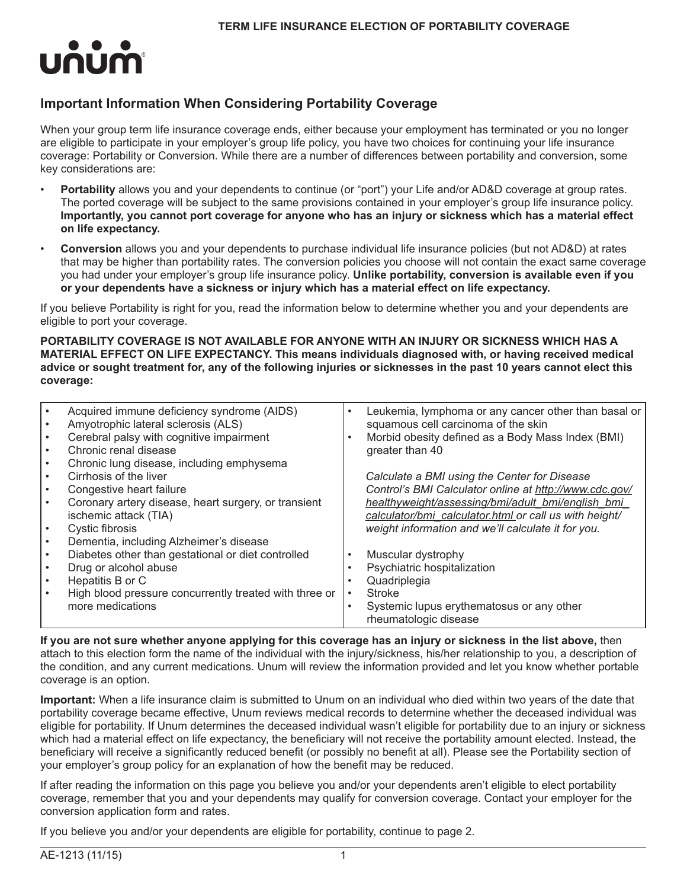

# **Important Information When Considering Portability Coverage**

When your group term life insurance coverage ends, either because your employment has terminated or you no longer are eligible to participate in your employer's group life policy, you have two choices for continuing your life insurance coverage: Portability or Conversion. While there are a number of differences between portability and conversion, some key considerations are:

- **Portability** allows you and your dependents to continue (or "port") your Life and/or AD&D coverage at group rates. The ported coverage will be subject to the same provisions contained in your employer's group life insurance policy. **Importantly, you cannot port coverage for anyone who has an injury or sickness which has a material effect on life expectancy.**
- **Conversion** allows you and your dependents to purchase individual life insurance policies (but not AD&D) at rates that may be higher than portability rates. The conversion policies you choose will not contain the exact same coverage you had under your employer's group life insurance policy. **Unlike portability, conversion is available even if you or your dependents have a sickness or injury which has a material effect on life expectancy.**

If you believe Portability is right for you, read the information below to determine whether you and your dependents are eligible to port your coverage.

**PORTABILITY COVERAGE IS NOT AVAILABLE FOR ANYONE WITH AN INJURY OR SICKNESS WHICH HAS A MATERIAL EFFECT ON LIFE EXPECTANCY. This means individuals diagnosed with, or having received medical advice or sought treatment for, any of the following injuries or sicknesses in the past 10 years cannot elect this coverage:**

| Acquired immune deficiency syndrome (AIDS)<br>Amyotrophic lateral sclerosis (ALS) | ٠         | Leukemia, lymphoma or any cancer other than basal or<br>squamous cell carcinoma of the skin |
|-----------------------------------------------------------------------------------|-----------|---------------------------------------------------------------------------------------------|
|                                                                                   |           |                                                                                             |
| Cerebral palsy with cognitive impairment                                          | $\bullet$ | Morbid obesity defined as a Body Mass Index (BMI)                                           |
| Chronic renal disease                                                             |           | greater than 40                                                                             |
| Chronic lung disease, including emphysema                                         |           |                                                                                             |
| Cirrhosis of the liver                                                            |           | Calculate a BMI using the Center for Disease                                                |
| Congestive heart failure                                                          |           | Control's BMI Calculator online at http://www.cdc.gov/                                      |
| Coronary artery disease, heart surgery, or transient                              |           | healthyweight/assessing/bmi/adult_bmi/english_bmi                                           |
| ischemic attack (TIA)                                                             |           | calculator/bmi_calculator.html_or call us with height/                                      |
| Cystic fibrosis                                                                   |           | weight information and we'll calculate it for you.                                          |
| Dementia, including Alzheimer's disease                                           |           |                                                                                             |
| Diabetes other than gestational or diet controlled                                | $\bullet$ | Muscular dystrophy                                                                          |
| Drug or alcohol abuse                                                             |           | Psychiatric hospitalization                                                                 |
| Hepatitis B or C                                                                  |           | Quadriplegia                                                                                |
| High blood pressure concurrently treated with three or                            | $\bullet$ | <b>Stroke</b>                                                                               |
| more medications                                                                  | $\bullet$ | Systemic lupus erythematosus or any other<br>rheumatologic disease                          |

**If you are not sure whether anyone applying for this coverage has an injury or sickness in the list above,** then attach to this election form the name of the individual with the injury/sickness, his/her relationship to you, a description of the condition, and any current medications. Unum will review the information provided and let you know whether portable coverage is an option.

**Important:** When a life insurance claim is submitted to Unum on an individual who died within two years of the date that portability coverage became effective, Unum reviews medical records to determine whether the deceased individual was eligible for portability. If Unum determines the deceased individual wasn't eligible for portability due to an injury or sickness which had a material effect on life expectancy, the beneficiary will not receive the portability amount elected. Instead, the beneficiary will receive a significantly reduced benefit (or possibly no benefit at all). Please see the Portability section of your employer's group policy for an explanation of how the benefit may be reduced.

If after reading the information on this page you believe you and/or your dependents aren't eligible to elect portability coverage, remember that you and your dependents may qualify for conversion coverage. Contact your employer for the conversion application form and rates.

If you believe you and/or your dependents are eligible for portability, continue to page 2.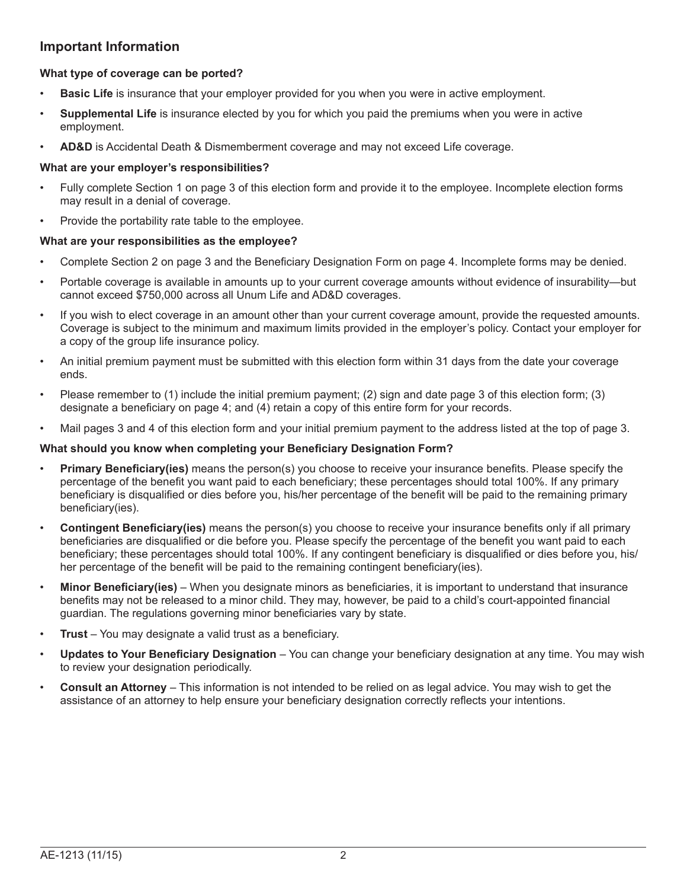# **Important Information**

## **What type of coverage can be ported?**

- **Basic Life** is insurance that your employer provided for you when you were in active employment.
- **Supplemental Life** is insurance elected by you for which you paid the premiums when you were in active employment.
- **AD&D** is Accidental Death & Dismemberment coverage and may not exceed Life coverage.

### **What are your employer's responsibilities?**

- Fully complete Section 1 on page 3 of this election form and provide it to the employee. Incomplete election forms may result in a denial of coverage.
- Provide the portability rate table to the employee.

### **What are your responsibilities as the employee?**

- Complete Section 2 on page 3 and the Beneficiary Designation Form on page 4. Incomplete forms may be denied.
- Portable coverage is available in amounts up to your current coverage amounts without evidence of insurability—but cannot exceed \$750,000 across all Unum Life and AD&D coverages.
- If you wish to elect coverage in an amount other than your current coverage amount, provide the requested amounts. Coverage is subject to the minimum and maximum limits provided in the employer's policy. Contact your employer for a copy of the group life insurance policy.
- An initial premium payment must be submitted with this election form within 31 days from the date your coverage ends.
- Please remember to  $(1)$  include the initial premium payment;  $(2)$  sign and date page 3 of this election form;  $(3)$ designate a beneficiary on page 4; and (4) retain a copy of this entire form for your records.
- Mail pages 3 and 4 of this election form and your initial premium payment to the address listed at the top of page 3.

### **What should you know when completing your Beneficiary Designation Form?**

- **Primary Beneficiary(ies)** means the person(s) you choose to receive your insurance benefits. Please specify the percentage of the benefit you want paid to each beneficiary; these percentages should total 100%. If any primary beneficiary is disqualified or dies before you, his/her percentage of the benefit will be paid to the remaining primary beneficiary(ies).
- **Contingent Beneficiary(ies)** means the person(s) you choose to receive your insurance benefits only if all primary beneficiaries are disqualified or die before you. Please specify the percentage of the benefit you want paid to each beneficiary; these percentages should total 100%. If any contingent beneficiary is disqualified or dies before you, his/ her percentage of the benefit will be paid to the remaining contingent beneficiary(ies).
- **Minor Beneficiary(ies)**  When you designate minors as beneficiaries, it is important to understand that insurance benefits may not be released to a minor child. They may, however, be paid to a child's court-appointed financial guardian. The regulations governing minor beneficiaries vary by state.
- **Trust** You may designate a valid trust as a beneficiary.
- **Updates to Your Beneficiary Designation**  You can change your beneficiary designation at any time. You may wish to review your designation periodically.
- **Consult an Attorney** This information is not intended to be relied on as legal advice. You may wish to get the assistance of an attorney to help ensure your beneficiary designation correctly reflects your intentions.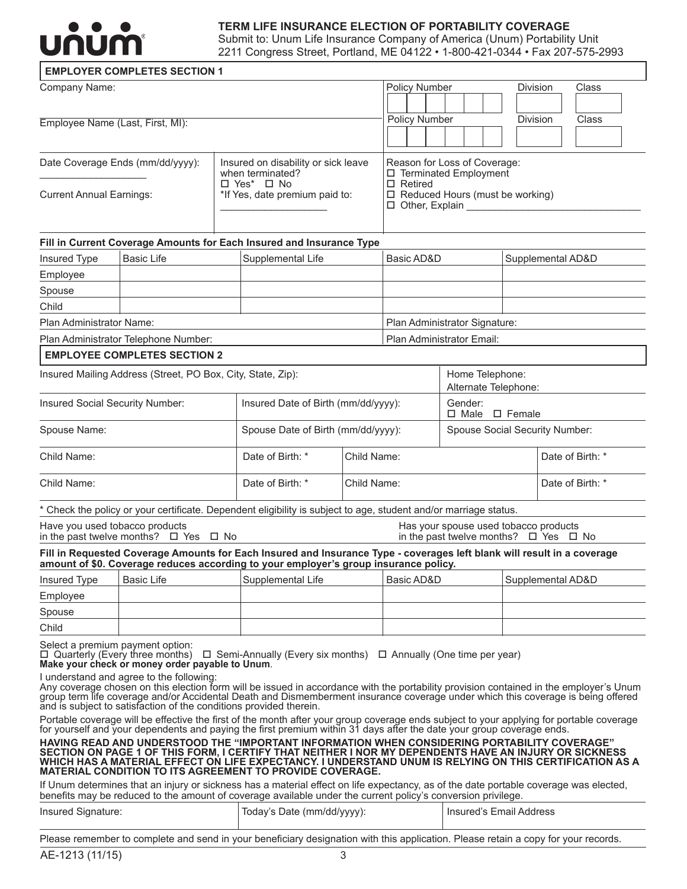

### **TERM LIFE INSURANCE ELECTION OF PORTABILITY COVERAGE**

Submit to: Unum Life Insurance Company of America (Unum) Portability Unit 2211 Congress Street, Portland, ME 04122 • 1-800-421-0344 • Fax 207-575-2993

#### **EMPLOYER COMPLETES SECTION 1**

| Company Name:                    |                                                         | <b>Policy Number</b>                                                              | <b>Division</b> | Class        |
|----------------------------------|---------------------------------------------------------|-----------------------------------------------------------------------------------|-----------------|--------------|
| Employee Name (Last, First, MI): |                                                         | <b>Policy Number</b>                                                              | <b>Division</b> | <b>Class</b> |
| Date Coverage Ends (mm/dd/yyyy): | Insured on disability or sick leave<br>when terminated? | Reason for Loss of Coverage:<br>□ Terminated Employment                           |                 |              |
| <b>Current Annual Earnings:</b>  | $\Box$ Yes* $\Box$ No<br>*If Yes, date premium paid to: | $\Box$ Retired<br>$\Box$ Reduced Hours (must be working)<br>$\Box$ Other, Explain |                 |              |

# **Fill in Current Coverage Amounts for Each Insured and Insurance Type** Insured Type Basic Life Supplemental AD&D Supplemental AD&D Supplemental AD&D Employee

| .                        |                                      |                               |  |
|--------------------------|--------------------------------------|-------------------------------|--|
| Spouse                   |                                      |                               |  |
| Child                    |                                      |                               |  |
| Plan Administrator Name: |                                      | Plan Administrator Signature: |  |
|                          | Plan Administrator Telephone Number: | Plan Administrator Email:     |  |

#### **EMPLOYEE COMPLETES SECTION 2**

| Insured Mailing Address (Street, PO Box, City, State, Zip): |                                     |                                    | Home Telephone:<br>Alternate Telephone: |                                |
|-------------------------------------------------------------|-------------------------------------|------------------------------------|-----------------------------------------|--------------------------------|
| Insured Social Security Number:                             | Insured Date of Birth (mm/dd/yyyy): |                                    | Gender:<br>$\Box$ Male $\Box$ Female    |                                |
| Spouse Name:                                                |                                     | Spouse Date of Birth (mm/dd/yyyy): |                                         | Spouse Social Security Number: |
| Child Name:                                                 | Date of Birth: *                    | Child Name:                        |                                         | Date of Birth: *               |
| Child Name:                                                 | Date of Birth: *                    | Child Name:                        |                                         | Date of Birth: *               |

Check the policy or your certificate. Dependent eligibility is subject to age, student and/or marriage status.

Have you used tobacco products<br>
in the past twelve months?  $\Box$  Yes  $\Box$  No  $\Box$  The past twelve months?  $\Box$  Yes  $\Box$ 

in the past twelve months?  $\Box$  Yes  $\Box$  No

#### **Fill in Requested Coverage Amounts for Each Insured and Insurance Type - coverages left blank will result in a coverage amount of \$0. Coverage reduces according to your employer's group insurance policy.**

| <b>Insured Type</b> | Basic Life | Supplemental Life | Basic AD&D | Supplemental AD&D |
|---------------------|------------|-------------------|------------|-------------------|
| Employee            |            |                   |            |                   |
| Spouse              |            |                   |            |                   |
| Child               |            |                   |            |                   |

Select a premium payment option:

 $\Box$  Quarterly (Every three months)  $\Box$  Semi-Annually (Every six months)  $\Box$  Annually (One time per year) **Make your check or money order payable to Unum**.

I understand and agree to the following:

Any coverage chosen on this election form will be issued in accordance with the portability provision contained in the employer's Unum group term life coverage and/or Accidental Death and Dismemberment insurance coverage under which this coverage is being offered and is subject to satisfaction of the conditions provided therein.

Portable coverage will be effective the first of the month after your group coverage ends subject to your applying for portable coverage for yourself and your dependents and paying the first premium within 31 days after th

**HAVING READ AND UNDERSTOOD THE "IMPORTANT INFORMATION WHEN CONSIDERING PORTABILITY COVERAGE" SECTION ON PAGE 1 OF THIS FORM, I CERTIFY THAT NEITHER I NOR MY DEPENDENTS HAVE AN INJURY OR SICKNESS WHICH HAS A MATERIAL EFFECT ON LIFE EXPECTANCY. I UNDERSTAND UNUM IS RELYING ON THIS CERTIFICATION AS A MATERIAL CONDITION TO ITS AGREEMENT TO PROVIDE COVERAGE.**

If Unum determines that an injury or sickness has a material effect on life expectancy, as of the date portable coverage was elected, benefits may be reduced to the amount of coverage available under the current policy's conversion privilege.

| Insured Signature: | Today's Date (mm/dd/yyyy): | I Insured's Email Address |
|--------------------|----------------------------|---------------------------|
|                    |                            |                           |

Please remember to complete and send in your beneficiary designation with this application. Please retain a copy for your records.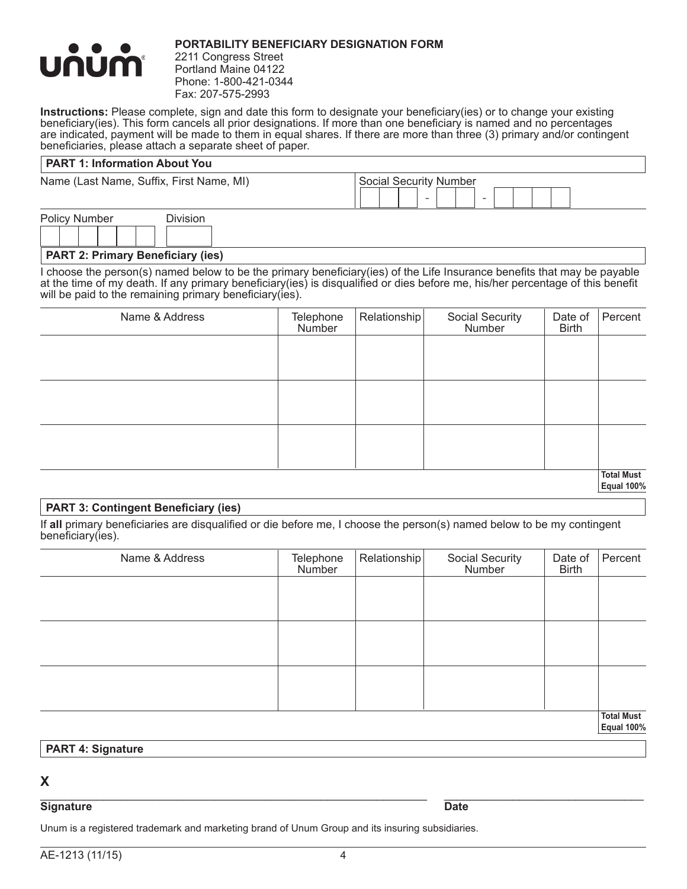

### **Portability Beneficiary Designation Form**

2211 Congress Street Portland Maine 04122 Phone: 1-800-421-0344 Fax: 207-575-2993

**Instructions:** Please complete, sign and date this form to designate your beneficiary(ies) or to change your existing beneficiary(ies). This form cancels all prior designations. If more than one beneficiary is named and no percentages are indicated, payment will be made to them in equal shares. If there are more than three (3) primary and/or contingent beneficiaries, please attach a separate sheet of paper.

### **PART 1: Information About You**

Name (Last Name, Suffix, First Name, MI) Social Security Number

| <b>Policy Number</b> |  |  | <b>Division</b> |  |
|----------------------|--|--|-----------------|--|
|                      |  |  |                 |  |

Ļ **PART 2: Primary Beneficiary (ies)**

I choose the person(s) named below to be the primary beneficiary(ies) of the Life Insurance benefits that may be payable at the time of my death. If any primary beneficiary(ies) is disqualified or dies before me, his/her percentage of this benefit will be paid to the remaining primary beneficiary(ies).

| Name & Address | Telephone<br>Number | Relationship | Social Security<br>Number | Date of<br><b>Birth</b> | Percent                                            |
|----------------|---------------------|--------------|---------------------------|-------------------------|----------------------------------------------------|
|                |                     |              |                           |                         |                                                    |
|                |                     |              |                           |                         |                                                    |
|                |                     |              |                           |                         |                                                    |
|                |                     |              |                           |                         |                                                    |
|                |                     |              |                           |                         |                                                    |
|                |                     |              |                           |                         |                                                    |
|                |                     |              |                           |                         | <b>Total Must</b><br>$\overline{\phantom{a}}$<br>- |

**Equal 100%**

## **PART 3: Contingent Beneficiary (ies)**

If **all** primary beneficiaries are disqualified or die before me, I choose the person(s) named below to be my contingent beneficiary(ies).

| Name & Address | Telephone<br>Number | Relationship | Social Security<br>Number | Date of<br><b>Birth</b> | Percent                                |
|----------------|---------------------|--------------|---------------------------|-------------------------|----------------------------------------|
|                |                     |              |                           |                         |                                        |
|                |                     |              |                           |                         |                                        |
|                |                     |              |                           |                         |                                        |
|                |                     |              |                           |                         |                                        |
|                |                     |              |                           |                         |                                        |
|                |                     |              |                           |                         |                                        |
|                |                     |              |                           |                         | <b>Total Must</b><br><b>Equal 100%</b> |

#### **PART 4: Signature**

# **X**

#### \_\_\_\_\_\_\_\_\_\_\_\_\_\_\_\_\_\_\_\_\_\_\_\_\_\_\_\_\_\_\_\_\_\_\_\_\_\_\_\_\_\_\_\_\_\_\_\_\_\_\_\_\_\_\_\_\_\_\_\_\_\_ \_\_\_\_\_\_\_\_\_\_\_\_\_\_\_\_\_\_\_\_\_\_\_\_\_\_\_\_\_\_\_\_ **Signature Date**

Unum is a registered trademark and marketing brand of Unum Group and its insuring subsidiaries.

- -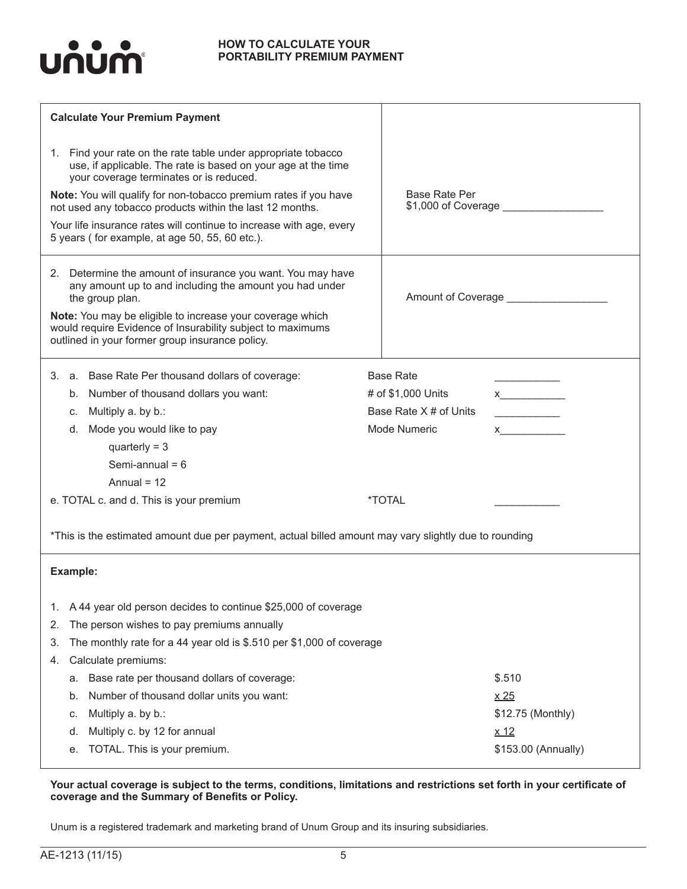

#### **HOW TO CALCULATE YOUR PORTABILITY PREMIUM PAYMENT**

| <b>Calculate Your Premium Payment</b>                                                                                                                                                                                                                                                                                                                                                                                              |                                                                                                                                                                                                                                                                                                                                                |
|------------------------------------------------------------------------------------------------------------------------------------------------------------------------------------------------------------------------------------------------------------------------------------------------------------------------------------------------------------------------------------------------------------------------------------|------------------------------------------------------------------------------------------------------------------------------------------------------------------------------------------------------------------------------------------------------------------------------------------------------------------------------------------------|
| 1. Find your rate on the rate table under appropriate tobacco<br>use, if applicable. The rate is based on your age at the time<br>your coverage terminates or is reduced.<br>Note: You will qualify for non-tobacco premium rates if you have<br>not used any tobacco products within the last 12 months.<br>Your life insurance rates will continue to increase with age, every<br>5 years (for example, at age 50, 55, 60 etc.). | <b>Base Rate Per</b><br>\$1,000 of Coverage ____________                                                                                                                                                                                                                                                                                       |
| 2. Determine the amount of insurance you want. You may have<br>any amount up to and including the amount you had under<br>the group plan.<br>Note: You may be eligible to increase your coverage which<br>would require Evidence of Insurability subject to maximums<br>outlined in your former group insurance policy.                                                                                                            | Amount of Coverage ________________                                                                                                                                                                                                                                                                                                            |
| a. Base Rate Per thousand dollars of coverage:<br>3.<br>b. Number of thousand dollars you want:<br>Multiply a. by b.:<br>C.<br>Mode you would like to pay<br>d.<br>quarterly = $3$<br>Semi-annual = $6$<br>Annual = $12$<br>e. TOTAL c. and d. This is your premium<br>*This is the estimated amount due per payment, actual billed amount may vary slightly due to rounding                                                       | <b>Base Rate</b><br># of \$1,000 Units<br>x<br>Base Rate X # of Units<br>Mode Numeric<br>$x$ and $x$ and $x$ and $x$ and $x$ and $x$ and $x$ and $x$ and $x$ and $x$ and $x$ and $x$ and $x$ and $x$ and $x$ and $x$ and $x$ and $x$ and $x$ and $x$ and $x$ and $x$ and $x$ and $x$ and $x$ and $x$ and $x$ and $x$ a<br><i><b>*TOTAL</b></i> |
| Example:<br>A 44 year old person decides to continue \$25,000 of coverage<br>The person wishes to pay premiums annually<br>2.                                                                                                                                                                                                                                                                                                      |                                                                                                                                                                                                                                                                                                                                                |
| The monthly rate for a 44 year old is \$.510 per \$1,000 of coverage<br>3.<br>Calculate premiums:<br>4.<br>Base rate per thousand dollars of coverage:<br>а.<br>Number of thousand dollar units you want:<br>b.<br>Multiply a. by b.:<br>c.<br>Multiply c. by 12 for annual<br>d.<br>TOTAL. This is your premium.<br>е.                                                                                                            | \$.510<br>$\times 25$<br>\$12.75 (Monthly)<br>$x_12$<br>\$153.00 (Annually)                                                                                                                                                                                                                                                                    |

## **Your actual coverage is subject to the terms, conditions, limitations and restrictions set forth in your certificate of coverage and the Summary of Benefits or Policy.**

Unum is a registered trademark and marketing brand of Unum Group and its insuring subsidiaries.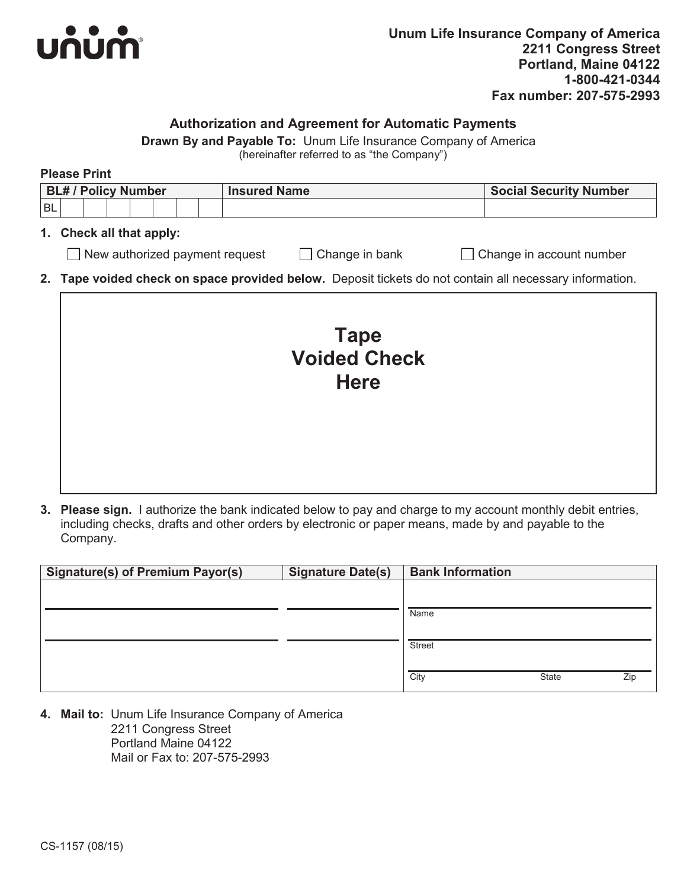

# **Authorization and Agreement for Automatic Payments**

**Drawn By and Payable To:** Unum Life Insurance Company of America

(hereinafter referred to as "the Company")

|    | <b>Please Print</b>            |                                                                                                         |                               |  |  |  |  |  |  |  |
|----|--------------------------------|---------------------------------------------------------------------------------------------------------|-------------------------------|--|--|--|--|--|--|--|
|    | <b>BL# / Policy Number</b>     | <b>Insured Name</b>                                                                                     | <b>Social Security Number</b> |  |  |  |  |  |  |  |
| BL |                                |                                                                                                         |                               |  |  |  |  |  |  |  |
| 1. | Check all that apply:          |                                                                                                         |                               |  |  |  |  |  |  |  |
|    | New authorized payment request | Change in bank<br>$\mathbf{I}$                                                                          | Change in account number      |  |  |  |  |  |  |  |
|    |                                | 2. Tape voided check on space provided below. Deposit tickets do not contain all necessary information. |                               |  |  |  |  |  |  |  |
|    |                                | <b>Tape</b><br><b>Voided Check</b><br><b>Here</b>                                                       |                               |  |  |  |  |  |  |  |

**3. Please sign.** I authorize the bank indicated below to pay and charge to my account monthly debit entries, including checks, drafts and other orders by electronic or paper means, made by and payable to the Company.

| <b>Signature(s) of Premium Payor(s)</b> | <b>Signature Date(s)</b> | <b>Bank Information</b> |              |     |
|-----------------------------------------|--------------------------|-------------------------|--------------|-----|
|                                         |                          |                         |              |     |
|                                         |                          |                         |              |     |
|                                         |                          | Name                    |              |     |
|                                         |                          |                         |              |     |
|                                         |                          | <b>Street</b>           |              |     |
|                                         |                          |                         |              |     |
|                                         |                          | City                    | <b>State</b> | Zip |

**4. Mail to:** Unum Life Insurance Company of America 2211 Congress Street Portland Maine 04122 Mail or Fax to: 207-575-2993